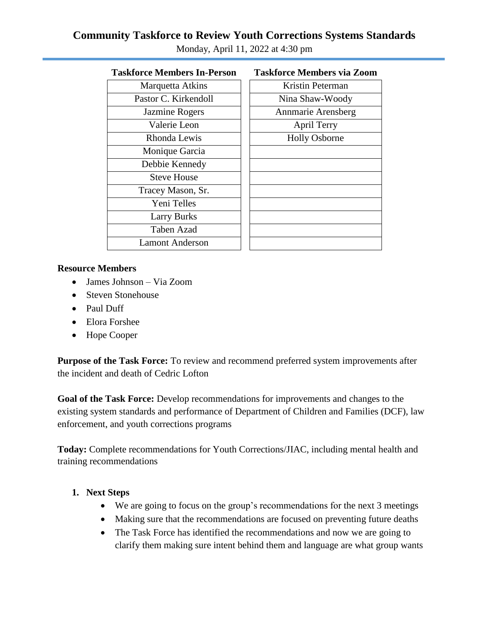# **Community Taskforce to Review Youth Corrections Systems Standards**

| 1 asktorce members in-Person | таѕктогсе мешрегѕ via z   |
|------------------------------|---------------------------|
| Marquetta Atkins             | Kristin Peterman          |
| Pastor C. Kirkendoll         | Nina Shaw-Woody           |
| Jazmine Rogers               | <b>Annmarie Arensberg</b> |
| Valerie Leon                 | April Terry               |
| Rhonda Lewis                 | <b>Holly Osborne</b>      |
| Monique Garcia               |                           |
| Debbie Kennedy               |                           |
| <b>Steve House</b>           |                           |
| Tracey Mason, Sr.            |                           |
| Yeni Telles                  |                           |
| <b>Larry Burks</b>           |                           |
| <b>Taben Azad</b>            |                           |
| <b>Lamont Anderson</b>       |                           |
|                              |                           |

Monday, April 11, 2022 at 4:30 pm

## **Taskforce Members In-Person Taskforce Members via Zoom**

| Kristin Peterman     |
|----------------------|
| Nina Shaw-Woody      |
| Annmarie Arensberg   |
| <b>April Terry</b>   |
| <b>Holly Osborne</b> |
|                      |
|                      |
|                      |
|                      |
|                      |
|                      |
|                      |
|                      |
|                      |

#### **Resource Members**

- James Johnson Via Zoom
- Steven Stonehouse
- Paul Duff
- Elora Forshee
- Hope Cooper

**Purpose of the Task Force:** To review and recommend preferred system improvements after the incident and death of Cedric Lofton

**Goal of the Task Force:** Develop recommendations for improvements and changes to the existing system standards and performance of Department of Children and Families (DCF), law enforcement, and youth corrections programs

**Today:** Complete recommendations for Youth Corrections/JIAC, including mental health and training recommendations

#### **1. Next Steps**

- We are going to focus on the group's recommendations for the next 3 meetings
- Making sure that the recommendations are focused on preventing future deaths
- The Task Force has identified the recommendations and now we are going to clarify them making sure intent behind them and language are what group wants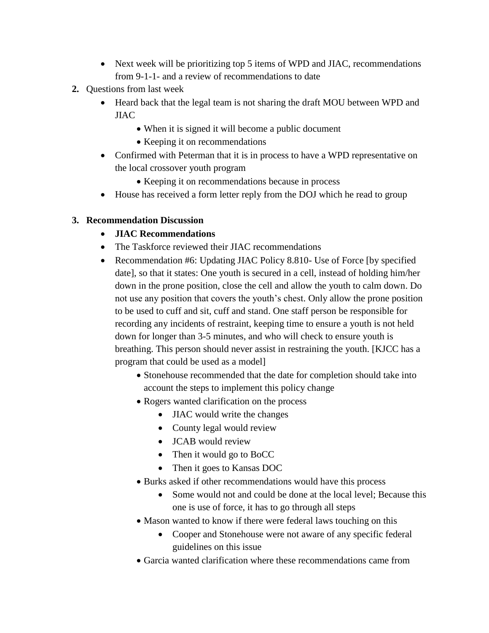- Next week will be prioritizing top 5 items of WPD and JIAC, recommendations from 9-1-1- and a review of recommendations to date
- **2.** Questions from last week
	- Heard back that the legal team is not sharing the draft MOU between WPD and JIAC
		- When it is signed it will become a public document
		- Keeping it on recommendations
	- Confirmed with Peterman that it is in process to have a WPD representative on the local crossover youth program
		- Keeping it on recommendations because in process
	- House has received a form letter reply from the DOJ which he read to group

#### **3. Recommendation Discussion**

- **JIAC Recommendations**
- The Taskforce reviewed their JIAC recommendations
- Recommendation #6: Updating JIAC Policy 8.810- Use of Force [by specified] date], so that it states: One youth is secured in a cell, instead of holding him/her down in the prone position, close the cell and allow the youth to calm down. Do not use any position that covers the youth's chest. Only allow the prone position to be used to cuff and sit, cuff and stand. One staff person be responsible for recording any incidents of restraint, keeping time to ensure a youth is not held down for longer than 3-5 minutes, and who will check to ensure youth is breathing. This person should never assist in restraining the youth. [KJCC has a program that could be used as a model]
	- Stonehouse recommended that the date for completion should take into account the steps to implement this policy change
	- Rogers wanted clarification on the process
		- JIAC would write the changes
		- County legal would review
		- **JCAB** would review
		- Then it would go to BoCC
		- Then it goes to Kansas DOC
	- Burks asked if other recommendations would have this process
		- Some would not and could be done at the local level; Because this one is use of force, it has to go through all steps
	- Mason wanted to know if there were federal laws touching on this
		- Cooper and Stonehouse were not aware of any specific federal guidelines on this issue
	- Garcia wanted clarification where these recommendations came from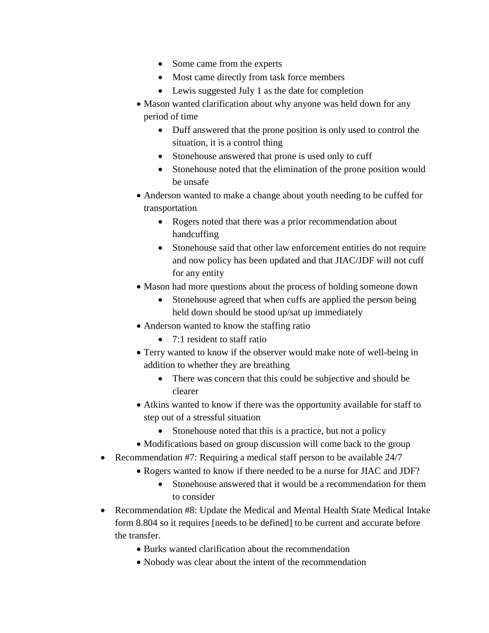- Some came from the experts
- Most came directly from task force members
- Lewis suggested July 1 as the date for completion
- Mason wanted clarification about why anyone was held down for any period of time
	- Duff answered that the prone position is only used to control the situation, it is a control thing
	- Stonehouse answered that prone is used only to cuff
	- Stonehouse noted that the elimination of the prone position would be unsafe
- Anderson wanted to make a change about youth needing to be cuffed for transportation
	- Rogers noted that there was a prior recommendation about handcuffing
	- Stonehouse said that other law enforcement entities do not require and now policy has been updated and that JIAC/JDF will not cuff for any entity
- Mason had more questions about the process of holding someone down
	- Stonehouse agreed that when cuffs are applied the person being held down should be stood up/sat up immediately
- Anderson wanted to know the staffing ratio
	- 7:1 resident to staff ratio
- Terry wanted to know if the observer would make note of well-being in addition to whether they are breathing
	- There was concern that this could be subjective and should be clearer
- Atkins wanted to know if there was the opportunity available for staff to step out of a stressful situation
	- Stonehouse noted that this is a practice, but not a policy
- Modifications based on group discussion will come back to the group
- Recommendation #7: Requiring a medical staff person to be available 24/7
	- Rogers wanted to know if there needed to be a nurse for JIAC and JDF?
		- Stonehouse answered that it would be a recommendation for them to consider
- Recommendation #8: Update the Medical and Mental Health State Medical Intake form 8.804 so it requires [needs to be defined] to be current and accurate before the transfer.
	- Burks wanted clarification about the recommendation
	- Nobody was clear about the intent of the recommendation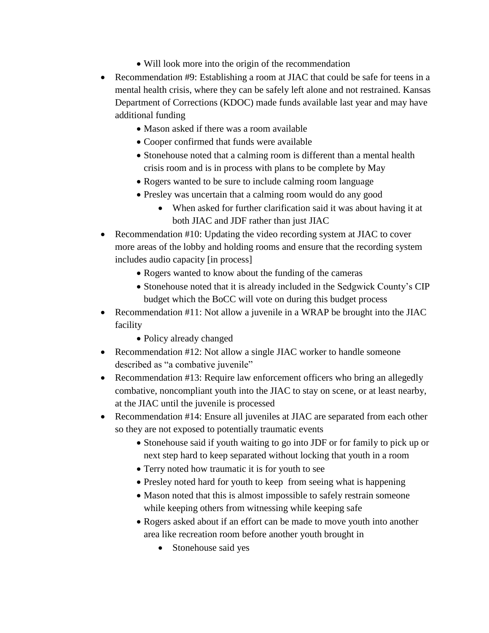- Will look more into the origin of the recommendation
- Recommendation #9: Establishing a room at JIAC that could be safe for teens in a mental health crisis, where they can be safely left alone and not restrained. Kansas Department of Corrections (KDOC) made funds available last year and may have additional funding
	- Mason asked if there was a room available
	- Cooper confirmed that funds were available
	- Stonehouse noted that a calming room is different than a mental health crisis room and is in process with plans to be complete by May
	- Rogers wanted to be sure to include calming room language
	- Presley was uncertain that a calming room would do any good
		- When asked for further clarification said it was about having it at both JIAC and JDF rather than just JIAC
- Recommendation #10: Updating the video recording system at JIAC to cover more areas of the lobby and holding rooms and ensure that the recording system includes audio capacity [in process]
	- Rogers wanted to know about the funding of the cameras
	- Stonehouse noted that it is already included in the Sedgwick County's CIP budget which the BoCC will vote on during this budget process
- Recommendation #11: Not allow a juvenile in a WRAP be brought into the JIAC facility
	- Policy already changed
- Recommendation #12: Not allow a single JIAC worker to handle someone described as "a combative juvenile"
- Recommendation #13: Require law enforcement officers who bring an allegedly combative, noncompliant youth into the JIAC to stay on scene, or at least nearby, at the JIAC until the juvenile is processed
- Recommendation #14: Ensure all juveniles at JIAC are separated from each other so they are not exposed to potentially traumatic events
	- Stonehouse said if youth waiting to go into JDF or for family to pick up or next step hard to keep separated without locking that youth in a room
	- Terry noted how traumatic it is for youth to see
	- Presley noted hard for youth to keep from seeing what is happening
	- Mason noted that this is almost impossible to safely restrain someone while keeping others from witnessing while keeping safe
	- Rogers asked about if an effort can be made to move youth into another area like recreation room before another youth brought in
		- Stonehouse said yes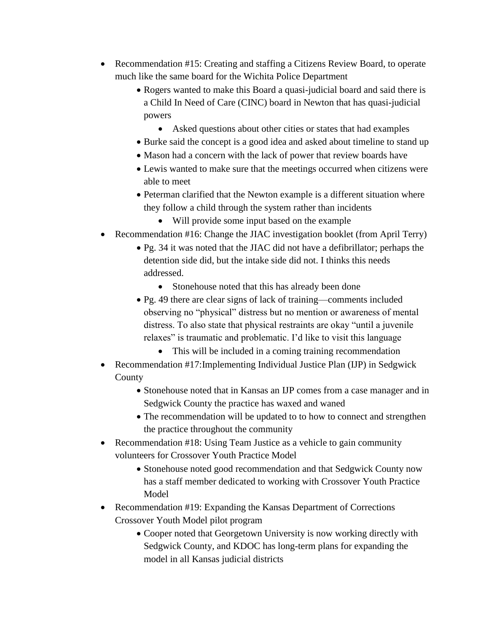- Recommendation #15: Creating and staffing a Citizens Review Board, to operate much like the same board for the Wichita Police Department
	- Rogers wanted to make this Board a quasi-judicial board and said there is a Child In Need of Care (CINC) board in Newton that has quasi-judicial powers
		- Asked questions about other cities or states that had examples
	- Burke said the concept is a good idea and asked about timeline to stand up
	- Mason had a concern with the lack of power that review boards have
	- Lewis wanted to make sure that the meetings occurred when citizens were able to meet
	- Peterman clarified that the Newton example is a different situation where they follow a child through the system rather than incidents
		- Will provide some input based on the example
- Recommendation #16: Change the JIAC investigation booklet (from April Terry)
	- Pg. 34 it was noted that the JIAC did not have a defibrillator; perhaps the detention side did, but the intake side did not. I thinks this needs addressed.
		- Stonehouse noted that this has already been done
	- Pg. 49 there are clear signs of lack of training—comments included observing no "physical" distress but no mention or awareness of mental distress. To also state that physical restraints are okay "until a juvenile relaxes" is traumatic and problematic. I'd like to visit this language
		- This will be included in a coming training recommendation
- Recommendation #17:Implementing Individual Justice Plan (IJP) in Sedgwick County
	- Stonehouse noted that in Kansas an IJP comes from a case manager and in Sedgwick County the practice has waxed and waned
	- The recommendation will be updated to to how to connect and strengthen the practice throughout the community
- Recommendation #18: Using Team Justice as a vehicle to gain community volunteers for Crossover Youth Practice Model
	- Stonehouse noted good recommendation and that Sedgwick County now has a staff member dedicated to working with Crossover Youth Practice Model
- Recommendation #19: Expanding the Kansas Department of Corrections Crossover Youth Model pilot program
	- Cooper noted that Georgetown University is now working directly with Sedgwick County, and KDOC has long-term plans for expanding the model in all Kansas judicial districts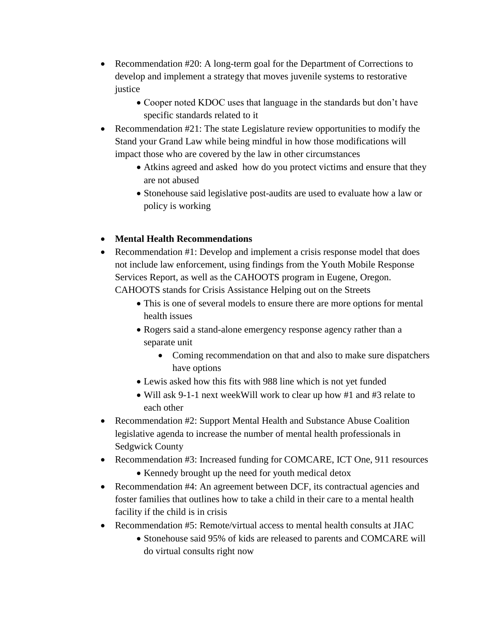- Recommendation #20: A long-term goal for the Department of Corrections to develop and implement a strategy that moves juvenile systems to restorative justice
	- Cooper noted KDOC uses that language in the standards but don't have specific standards related to it
- Recommendation  $#21$ : The state Legislature review opportunities to modify the Stand your Grand Law while being mindful in how those modifications will impact those who are covered by the law in other circumstances
	- Atkins agreed and asked how do you protect victims and ensure that they are not abused
	- Stonehouse said legislative post-audits are used to evaluate how a law or policy is working
- **Mental Health Recommendations**
- Recommendation #1: Develop and implement a crisis response model that does not include law enforcement, using findings from the Youth Mobile Response Services Report, as well as the CAHOOTS program in Eugene, Oregon. CAHOOTS stands for Crisis Assistance Helping out on the Streets
	- This is one of several models to ensure there are more options for mental health issues
	- Rogers said a stand-alone emergency response agency rather than a separate unit
		- Coming recommendation on that and also to make sure dispatchers have options
	- Lewis asked how this fits with 988 line which is not yet funded
	- Will ask 9-1-1 next weekWill work to clear up how #1 and #3 relate to each other
- Recommendation #2: Support Mental Health and Substance Abuse Coalition legislative agenda to increase the number of mental health professionals in Sedgwick County
- Recommendation #3: Increased funding for COMCARE, ICT One, 911 resources • Kennedy brought up the need for youth medical detox
- Recommendation #4: An agreement between DCF, its contractual agencies and foster families that outlines how to take a child in their care to a mental health facility if the child is in crisis
- Recommendation #5: Remote/virtual access to mental health consults at JIAC
	- Stonehouse said 95% of kids are released to parents and COMCARE will do virtual consults right now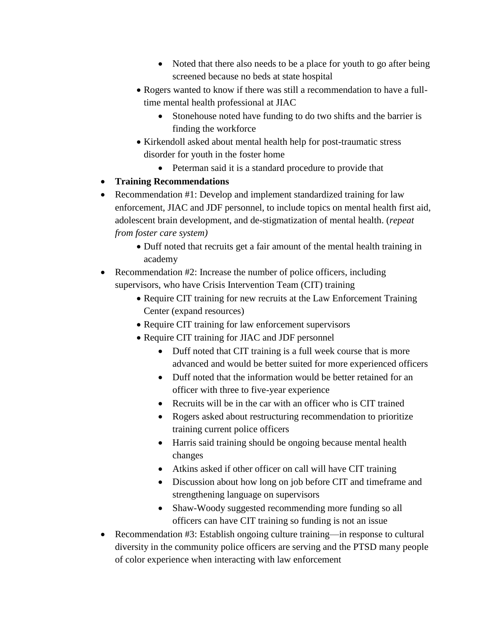- Noted that there also needs to be a place for youth to go after being screened because no beds at state hospital
- Rogers wanted to know if there was still a recommendation to have a fulltime mental health professional at JIAC
	- Stonehouse noted have funding to do two shifts and the barrier is finding the workforce
- Kirkendoll asked about mental health help for post-traumatic stress disorder for youth in the foster home
	- Peterman said it is a standard procedure to provide that
- **Training Recommendations**
- Recommendation #1: Develop and implement standardized training for law enforcement, JIAC and JDF personnel, to include topics on mental health first aid, adolescent brain development, and de-stigmatization of mental health. (*repeat from foster care system)*
	- Duff noted that recruits get a fair amount of the mental health training in academy
- Recommendation #2: Increase the number of police officers, including supervisors, who have Crisis Intervention Team (CIT) training
	- Require CIT training for new recruits at the Law Enforcement Training Center (expand resources)
	- Require CIT training for law enforcement supervisors
	- Require CIT training for JIAC and JDF personnel
		- Duff noted that CIT training is a full week course that is more advanced and would be better suited for more experienced officers
		- Duff noted that the information would be better retained for an officer with three to five-year experience
		- Recruits will be in the car with an officer who is CIT trained
		- Rogers asked about restructuring recommendation to prioritize training current police officers
		- Harris said training should be ongoing because mental health changes
		- Atkins asked if other officer on call will have CIT training
		- Discussion about how long on job before CIT and timeframe and strengthening language on supervisors
		- Shaw-Woody suggested recommending more funding so all officers can have CIT training so funding is not an issue
- Recommendation #3: Establish ongoing culture training—in response to cultural diversity in the community police officers are serving and the PTSD many people of color experience when interacting with law enforcement